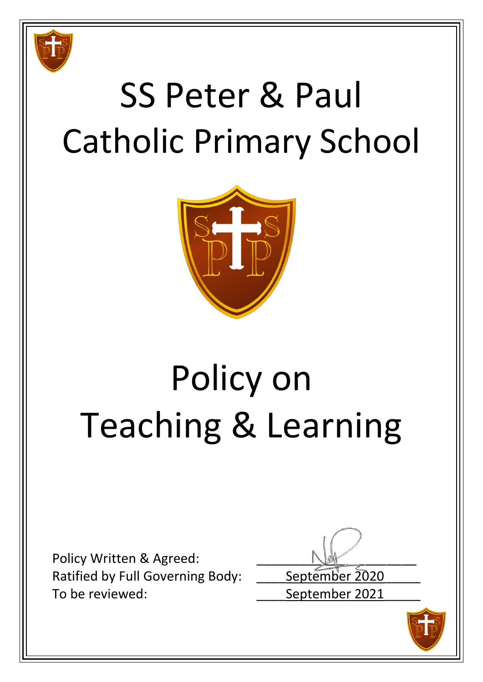

# SS Peter & Paul Catholic Primary School



# Policy on Teaching & Learning

Policy Written & Agreed: Ratified by Full Governing Body: September 2020 To be reviewed: To be reviewed:

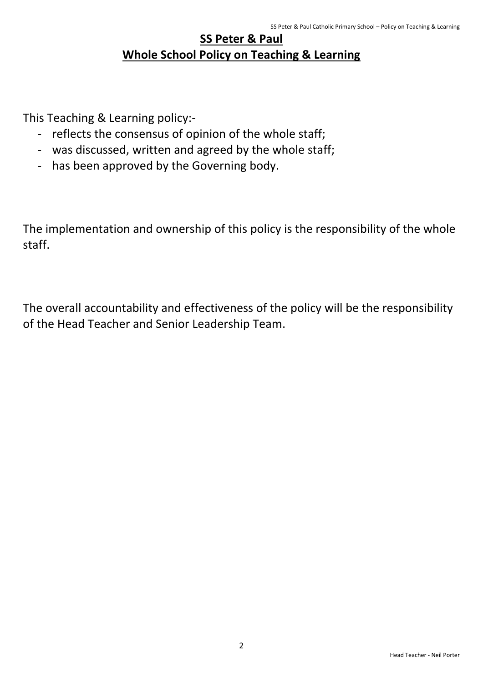# **SS Peter & Paul Whole School Policy on Teaching & Learning**

This Teaching & Learning policy:-

- reflects the consensus of opinion of the whole staff;
- was discussed, written and agreed by the whole staff;
- has been approved by the Governing body.

The implementation and ownership of this policy is the responsibility of the whole staff.

The overall accountability and effectiveness of the policy will be the responsibility of the Head Teacher and Senior Leadership Team.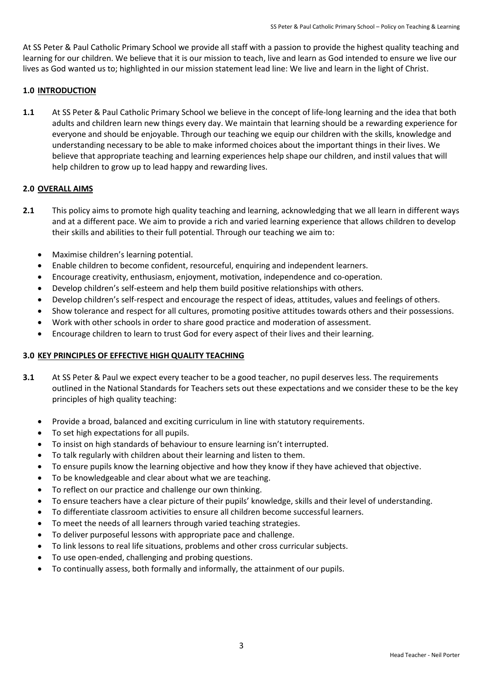At SS Peter & Paul Catholic Primary School we provide all staff with a passion to provide the highest quality teaching and learning for our children. We believe that it is our mission to teach, live and learn as God intended to ensure we live our lives as God wanted us to; highlighted in our mission statement lead line: We live and learn in the light of Christ.

## **1.0 INTRODUCTION**

**1.1** At SS Peter & Paul Catholic Primary School we believe in the concept of life-long learning and the idea that both adults and children learn new things every day. We maintain that learning should be a rewarding experience for everyone and should be enjoyable. Through our teaching we equip our children with the skills, knowledge and understanding necessary to be able to make informed choices about the important things in their lives. We believe that appropriate teaching and learning experiences help shape our children, and instil values that will help children to grow up to lead happy and rewarding lives.

### **2.0 OVERALL AIMS**

- **2.1** This policy aims to promote high quality teaching and learning, acknowledging that we all learn in different ways and at a different pace. We aim to provide a rich and varied learning experience that allows children to develop their skills and abilities to their full potential. Through our teaching we aim to:
	- Maximise children's learning potential.
	- Enable children to become confident, resourceful, enquiring and independent learners.
	- Encourage creativity, enthusiasm, enjoyment, motivation, independence and co-operation.
	- Develop children's self-esteem and help them build positive relationships with others.
	- Develop children's self-respect and encourage the respect of ideas, attitudes, values and feelings of others.
	- Show tolerance and respect for all cultures, promoting positive attitudes towards others and their possessions.
	- Work with other schools in order to share good practice and moderation of assessment.
	- Encourage children to learn to trust God for every aspect of their lives and their learning.

### **3.0 KEY PRINCIPLES OF EFFECTIVE HIGH QUALITY TEACHING**

- **3.1** At SS Peter & Paul we expect every teacher to be a good teacher, no pupil deserves less. The requirements outlined in the National Standards for Teachers sets out these expectations and we consider these to be the key principles of high quality teaching:
	- Provide a broad, balanced and exciting curriculum in line with statutory requirements.
	- To set high expectations for all pupils.
	- To insist on high standards of behaviour to ensure learning isn't interrupted.
	- To talk regularly with children about their learning and listen to them.
	- To ensure pupils know the learning objective and how they know if they have achieved that objective.
	- To be knowledgeable and clear about what we are teaching.
	- To reflect on our practice and challenge our own thinking.
	- To ensure teachers have a clear picture of their pupils' knowledge, skills and their level of understanding.
	- To differentiate classroom activities to ensure all children become successful learners.
	- To meet the needs of all learners through varied teaching strategies.
	- To deliver purposeful lessons with appropriate pace and challenge.
	- To link lessons to real life situations, problems and other cross curricular subjects.
	- To use open-ended, challenging and probing questions.
	- To continually assess, both formally and informally, the attainment of our pupils.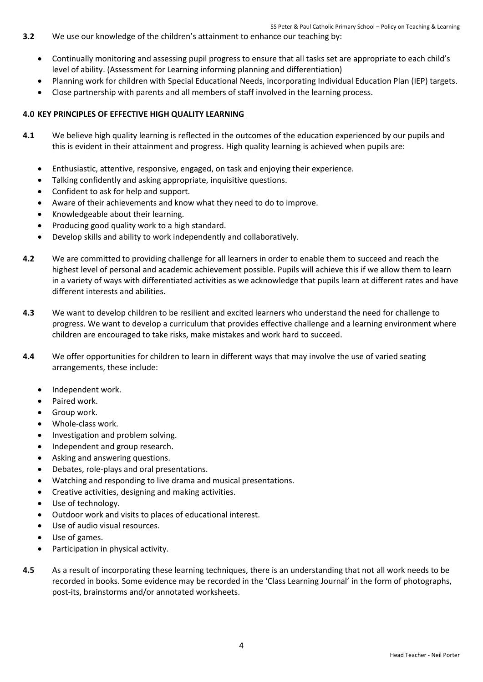- **3.2** We use our knowledge of the children's attainment to enhance our teaching by:
	- Continually monitoring and assessing pupil progress to ensure that all tasks set are appropriate to each child's level of ability. (Assessment for Learning informing planning and differentiation)
	- Planning work for children with Special Educational Needs, incorporating Individual Education Plan (IEP) targets.
	- Close partnership with parents and all members of staff involved in the learning process.

#### **4.0 KEY PRINCIPLES OF EFFECTIVE HIGH QUALITY LEARNING**

- **4.1** We believe high quality learning is reflected in the outcomes of the education experienced by our pupils and this is evident in their attainment and progress. High quality learning is achieved when pupils are:
	- Enthusiastic, attentive, responsive, engaged, on task and enjoying their experience.
	- Talking confidently and asking appropriate, inquisitive questions.
	- Confident to ask for help and support.
	- Aware of their achievements and know what they need to do to improve.
	- Knowledgeable about their learning.
	- Producing good quality work to a high standard.
	- Develop skills and ability to work independently and collaboratively.
- **4.2** We are committed to providing challenge for all learners in order to enable them to succeed and reach the highest level of personal and academic achievement possible. Pupils will achieve this if we allow them to learn in a variety of ways with differentiated activities as we acknowledge that pupils learn at different rates and have different interests and abilities.
- **4.3** We want to develop children to be resilient and excited learners who understand the need for challenge to progress. We want to develop a curriculum that provides effective challenge and a learning environment where children are encouraged to take risks, make mistakes and work hard to succeed.
- **4.4** We offer opportunities for children to learn in different ways that may involve the use of varied seating arrangements, these include:
	- Independent work.
	- Paired work.
	- **•** Group work.
	- Whole-class work.
	- Investigation and problem solving.
	- Independent and group research.
	- Asking and answering questions.
	- Debates, role-plays and oral presentations.
	- Watching and responding to live drama and musical presentations.
	- Creative activities, designing and making activities.
	- Use of technology.
	- Outdoor work and visits to places of educational interest.
	- Use of audio visual resources.
	- Use of games.
	- Participation in physical activity.
- **4.5** As a result of incorporating these learning techniques, there is an understanding that not all work needs to be recorded in books. Some evidence may be recorded in the 'Class Learning Journal' in the form of photographs, post-its, brainstorms and/or annotated worksheets.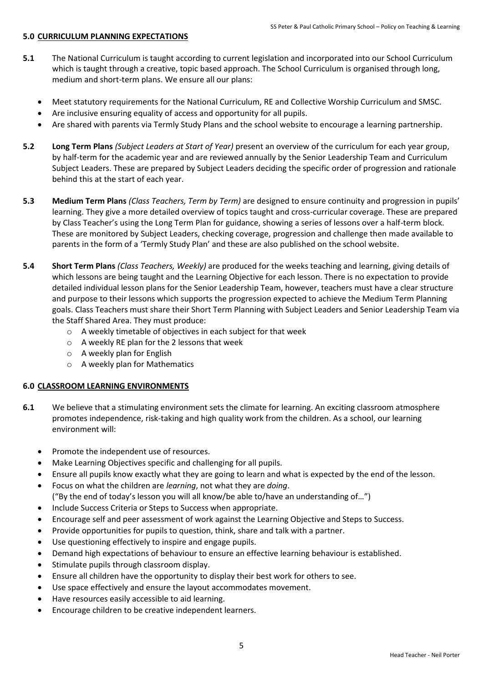#### **5.0 CURRICULUM PLANNING EXPECTATIONS**

- **5.1** The National Curriculum is taught according to current legislation and incorporated into our School Curriculum which is taught through a creative, topic based approach. The School Curriculum is organised through long, medium and short-term plans. We ensure all our plans:
	- Meet statutory requirements for the National Curriculum, RE and Collective Worship Curriculum and SMSC.
	- Are inclusive ensuring equality of access and opportunity for all pupils.
	- Are shared with parents via Termly Study Plans and the school website to encourage a learning partnership.
- **5.2 Long Term Plans** *(Subject Leaders at Start of Year)* present an overview of the curriculum for each year group, by half-term for the academic year and are reviewed annually by the Senior Leadership Team and Curriculum Subject Leaders. These are prepared by Subject Leaders deciding the specific order of progression and rationale behind this at the start of each year.
- **5.3 Medium Term Plans** *(Class Teachers, Term by Term)* are designed to ensure continuity and progression in pupils' learning. They give a more detailed overview of topics taught and cross-curricular coverage. These are prepared by Class Teacher's using the Long Term Plan for guidance, showing a series of lessons over a half-term block. These are monitored by Subject Leaders, checking coverage, progression and challenge then made available to parents in the form of a 'Termly Study Plan' and these are also published on the school website.
- **5.4 Short Term Plans** *(Class Teachers, Weekly)* are produced for the weeks teaching and learning, giving details of which lessons are being taught and the Learning Objective for each lesson. There is no expectation to provide detailed individual lesson plans for the Senior Leadership Team, however, teachers must have a clear structure and purpose to their lessons which supports the progression expected to achieve the Medium Term Planning goals. Class Teachers must share their Short Term Planning with Subject Leaders and Senior Leadership Team via the Staff Shared Area. They must produce:
	- o A weekly timetable of objectives in each subject for that week
	- o A weekly RE plan for the 2 lessons that week
	- o A weekly plan for English
	- o A weekly plan for Mathematics

### **6.0 CLASSROOM LEARNING ENVIRONMENTS**

- **6.1** We believe that a stimulating environment sets the climate for learning. An exciting classroom atmosphere promotes independence, risk-taking and high quality work from the children. As a school, our learning environment will:
	- Promote the independent use of resources.
	- Make Learning Objectives specific and challenging for all pupils.
	- Ensure all pupils know exactly what they are going to learn and what is expected by the end of the lesson.
	- Focus on what the children are *learning*, not what they are *doing*. ("By the end of today's lesson you will all know/be able to/have an understanding of…")
	- Include Success Criteria or Steps to Success when appropriate.
	- Encourage self and peer assessment of work against the Learning Objective and Steps to Success.
	- Provide opportunities for pupils to question, think, share and talk with a partner.
	- Use questioning effectively to inspire and engage pupils.
	- Demand high expectations of behaviour to ensure an effective learning behaviour is established.
	- Stimulate pupils through classroom display.
	- Ensure all children have the opportunity to display their best work for others to see.
	- Use space effectively and ensure the layout accommodates movement.
	- Have resources easily accessible to aid learning.
	- Encourage children to be creative independent learners.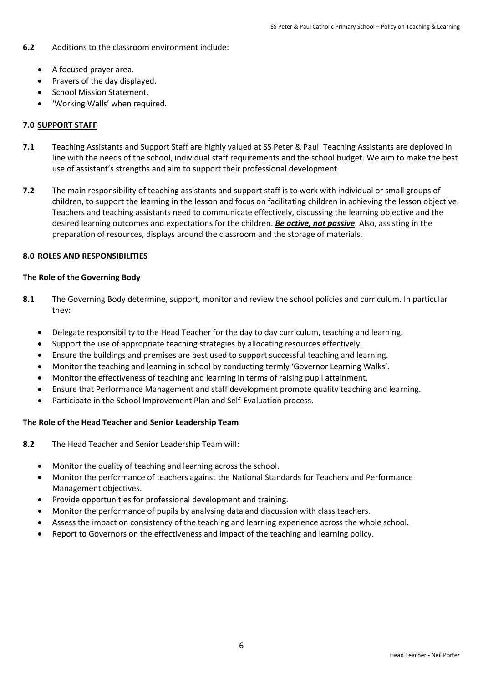- **6.2** Additions to the classroom environment include:
	- A focused prayer area.
	- Prayers of the day displayed.
	- School Mission Statement.
	- 'Working Walls' when required.

#### **7.0 SUPPORT STAFF**

- **7.1** Teaching Assistants and Support Staff are highly valued at SS Peter & Paul. Teaching Assistants are deployed in line with the needs of the school, individual staff requirements and the school budget. We aim to make the best use of assistant's strengths and aim to support their professional development.
- **7.2** The main responsibility of teaching assistants and support staff is to work with individual or small groups of children, to support the learning in the lesson and focus on facilitating children in achieving the lesson objective. Teachers and teaching assistants need to communicate effectively, discussing the learning objective and the desired learning outcomes and expectations for the children. *Be active, not passive*. Also, assisting in the preparation of resources, displays around the classroom and the storage of materials.

#### **8.0 ROLES AND RESPONSIBILITIES**

#### **The Role of the Governing Body**

- **8.1** The Governing Body determine, support, monitor and review the school policies and curriculum. In particular they:
	- Delegate responsibility to the Head Teacher for the day to day curriculum, teaching and learning.
	- Support the use of appropriate teaching strategies by allocating resources effectively.
	- Ensure the buildings and premises are best used to support successful teaching and learning.
	- Monitor the teaching and learning in school by conducting termly 'Governor Learning Walks'.
	- Monitor the effectiveness of teaching and learning in terms of raising pupil attainment.
	- Ensure that Performance Management and staff development promote quality teaching and learning.
	- Participate in the School Improvement Plan and Self-Evaluation process.

### **The Role of the Head Teacher and Senior Leadership Team**

- **8.2** The Head Teacher and Senior Leadership Team will:
	- Monitor the quality of teaching and learning across the school.
	- Monitor the performance of teachers against the National Standards for Teachers and Performance Management objectives.
	- Provide opportunities for professional development and training.
	- Monitor the performance of pupils by analysing data and discussion with class teachers.
	- Assess the impact on consistency of the teaching and learning experience across the whole school.
	- Report to Governors on the effectiveness and impact of the teaching and learning policy.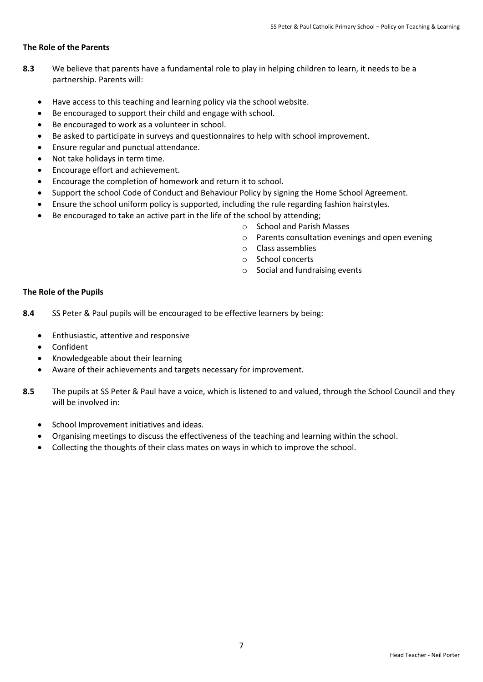#### **The Role of the Parents**

- **8.3** We believe that parents have a fundamental role to play in helping children to learn, it needs to be a partnership. Parents will:
	- Have access to this teaching and learning policy via the school website.
	- Be encouraged to support their child and engage with school.
	- Be encouraged to work as a volunteer in school.
	- Be asked to participate in surveys and questionnaires to help with school improvement.
	- Ensure regular and punctual attendance.
	- Not take holidays in term time.
	- Encourage effort and achievement.
	- Encourage the completion of homework and return it to school.
	- Support the school Code of Conduct and Behaviour Policy by signing the Home School Agreement.
	- Ensure the school uniform policy is supported, including the rule regarding fashion hairstyles.
	- Be encouraged to take an active part in the life of the school by attending;
		- o School and Parish Masses
		- o Parents consultation evenings and open evening
		- o Class assemblies
		- o School concerts
		- o Social and fundraising events

#### **The Role of the Pupils**

**8.4** SS Peter & Paul pupils will be encouraged to be effective learners by being:

- Enthusiastic, attentive and responsive
- Confident
- Knowledgeable about their learning
- Aware of their achievements and targets necessary for improvement.
- **8.5** The pupils at SS Peter & Paul have a voice, which is listened to and valued, through the School Council and they will be involved in:
	- School Improvement initiatives and ideas.
	- Organising meetings to discuss the effectiveness of the teaching and learning within the school.
	- Collecting the thoughts of their class mates on ways in which to improve the school.